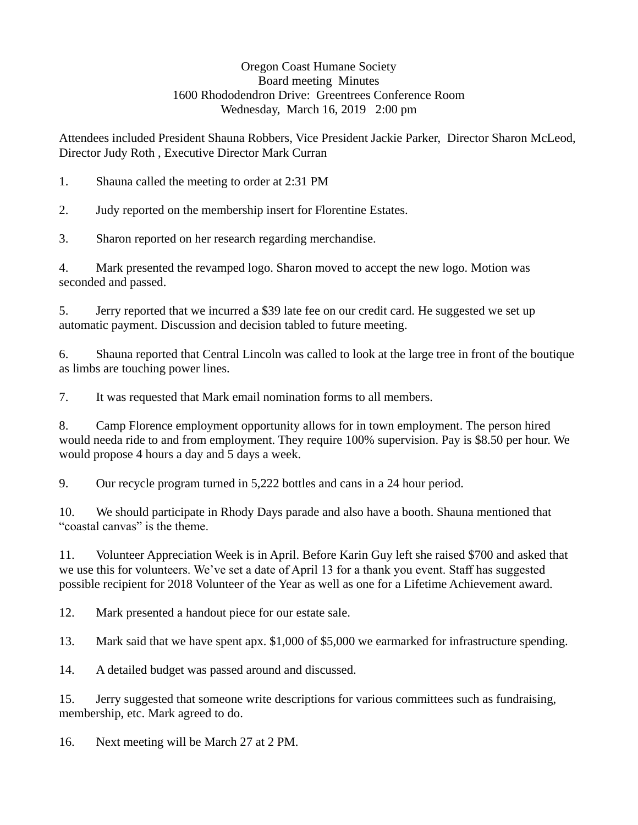## Oregon Coast Humane Society Board meeting Minutes 1600 Rhododendron Drive: Greentrees Conference Room Wednesday, March 16, 2019 2:00 pm

Attendees included President Shauna Robbers, Vice President Jackie Parker, Director Sharon McLeod, Director Judy Roth , Executive Director Mark Curran

1. Shauna called the meeting to order at 2:31 PM

2. Judy reported on the membership insert for Florentine Estates.

3. Sharon reported on her research regarding merchandise.

4. Mark presented the revamped logo. Sharon moved to accept the new logo. Motion was seconded and passed.

5. Jerry reported that we incurred a \$39 late fee on our credit card. He suggested we set up automatic payment. Discussion and decision tabled to future meeting.

6. Shauna reported that Central Lincoln was called to look at the large tree in front of the boutique as limbs are touching power lines.

7. It was requested that Mark email nomination forms to all members.

8. Camp Florence employment opportunity allows for in town employment. The person hired would needa ride to and from employment. They require 100% supervision. Pay is \$8.50 per hour. We would propose 4 hours a day and 5 days a week.

9. Our recycle program turned in 5,222 bottles and cans in a 24 hour period.

10. We should participate in Rhody Days parade and also have a booth. Shauna mentioned that "coastal canvas" is the theme.

11. Volunteer Appreciation Week is in April. Before Karin Guy left she raised \$700 and asked that we use this for volunteers. We've set a date of April 13 for a thank you event. Staff has suggested possible recipient for 2018 Volunteer of the Year as well as one for a Lifetime Achievement award.

12. Mark presented a handout piece for our estate sale.

13. Mark said that we have spent apx. \$1,000 of \$5,000 we earmarked for infrastructure spending.

14. A detailed budget was passed around and discussed.

15. Jerry suggested that someone write descriptions for various committees such as fundraising, membership, etc. Mark agreed to do.

16. Next meeting will be March 27 at 2 PM.